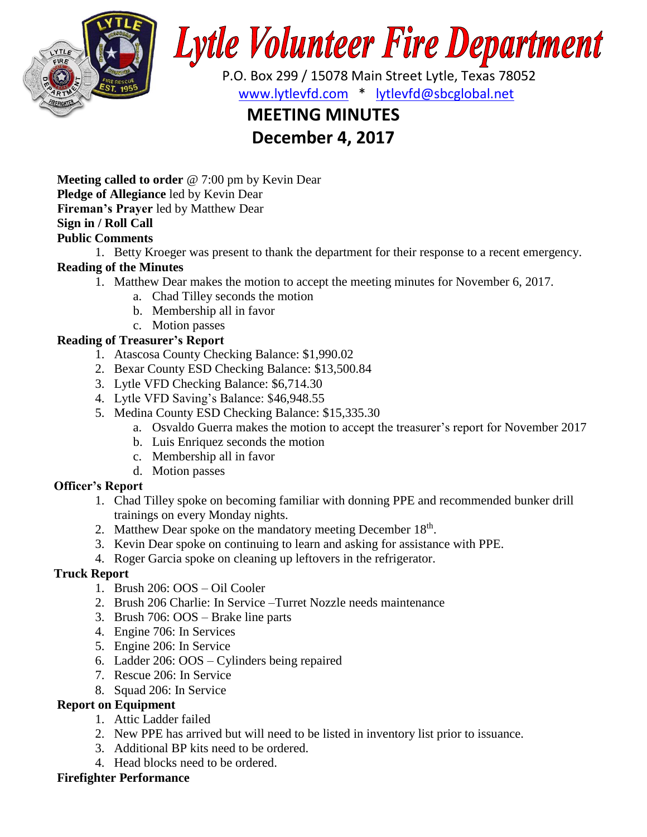

# **Lytle Volunteer Fire Department**

 P.O. Box 299 / 15078 Main Street Lytle, Texas 78052 [www.lytlevfd.com](http://www.lytlevfd.com/) \* [lytlevfd@sbcglobal.net](mailto:lytlevfd@sbcglobal.net)

## **MEETING MINUTES**

### **December 4, 2017**

**Meeting called to order** @ 7:00 pm by Kevin Dear **Pledge of Allegiance** led by Kevin Dear **Fireman's Prayer** led by Matthew Dear **Sign in / Roll Call Public Comments**

#### 1. Betty Kroeger was present to thank the department for their response to a recent emergency. **Reading of the Minutes**

- 1. Matthew Dear makes the motion to accept the meeting minutes for November 6, 2017.
	- a. Chad Tilley seconds the motion
	- b. Membership all in favor
	- c. Motion passes

#### **Reading of Treasurer's Report**

- 1. Atascosa County Checking Balance: \$1,990.02
- 2. Bexar County ESD Checking Balance: \$13,500.84
- 3. Lytle VFD Checking Balance: \$6,714.30
- 4. Lytle VFD Saving's Balance: \$46,948.55
- 5. Medina County ESD Checking Balance: \$15,335.30
	- a. Osvaldo Guerra makes the motion to accept the treasurer's report for November 2017
	- b. Luis Enriquez seconds the motion
	- c. Membership all in favor
	- d. Motion passes

#### **Officer's Report**

- 1. Chad Tilley spoke on becoming familiar with donning PPE and recommended bunker drill trainings on every Monday nights.
- 2. Matthew Dear spoke on the mandatory meeting December 18<sup>th</sup>.
- 3. Kevin Dear spoke on continuing to learn and asking for assistance with PPE.
- 4. Roger Garcia spoke on cleaning up leftovers in the refrigerator.

#### **Truck Report**

- 1. Brush 206: OOS Oil Cooler
- 2. Brush 206 Charlie: In Service –Turret Nozzle needs maintenance
- 3. Brush 706: OOS Brake line parts
- 4. Engine 706: In Services
- 5. Engine 206: In Service
- 6. Ladder 206: OOS Cylinders being repaired
- 7. Rescue 206: In Service
- 8. Squad 206: In Service

#### **Report on Equipment**

- 1. Attic Ladder failed
- 2. New PPE has arrived but will need to be listed in inventory list prior to issuance.
- 3. Additional BP kits need to be ordered.
- 4. Head blocks need to be ordered.

#### **Firefighter Performance**